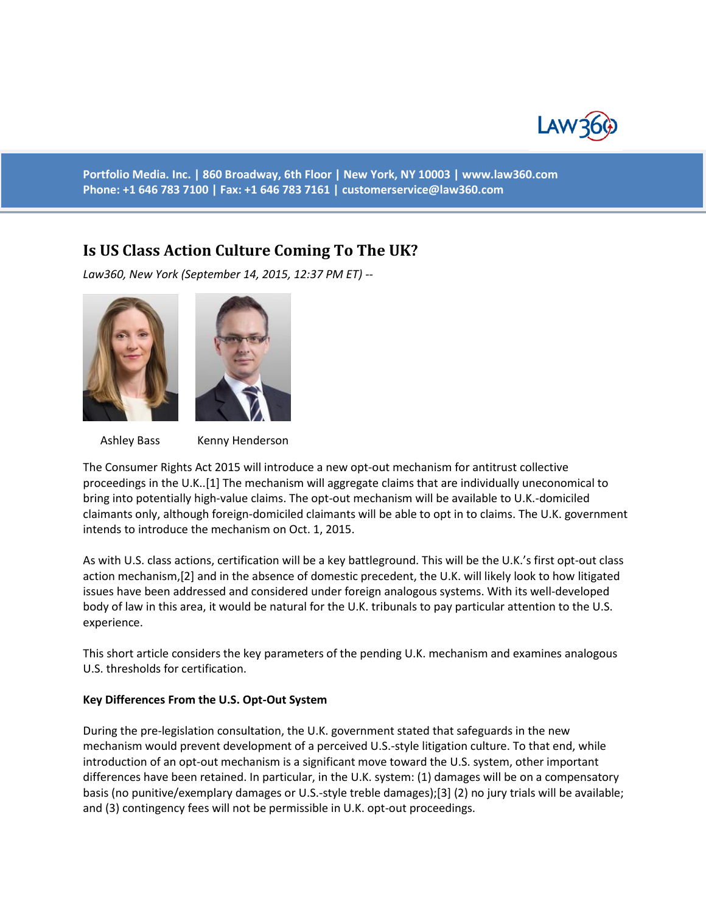

**Portfolio Media. Inc. | 860 Broadway, 6th Floor | New York, NY 10003 | www.law360.com Phone: +1 646 783 7100 | Fax: +1 646 783 7161 | [customerservice@law360.com](mailto:customerservice@law360.com)**

# **Is US Class Action Culture Coming To The UK?**

*Law360, New York (September 14, 2015, 12:37 PM ET) --*



Ashley Bass Kenny Henderson

The Consumer Rights Act 2015 will introduce a new opt-out mechanism for antitrust collective proceedings in the U.K..[1] The mechanism will aggregate claims that are individually uneconomical to bring into potentially high-value claims. The opt-out mechanism will be available to U.K.-domiciled claimants only, although foreign-domiciled claimants will be able to opt in to claims. The U.K. government intends to introduce the mechanism on Oct. 1, 2015.

As with U.S. class actions, certification will be a key battleground. This will be the U.K.'s first opt-out class action mechanism,[2] and in the absence of domestic precedent, the U.K. will likely look to how litigated issues have been addressed and considered under foreign analogous systems. With its well-developed body of law in this area, it would be natural for the U.K. tribunals to pay particular attention to the U.S. experience.

This short article considers the key parameters of the pending U.K. mechanism and examines analogous U.S. thresholds for certification.

#### **Key Differences From the U.S. Opt-Out System**

During the pre-legislation consultation, the U.K. government stated that safeguards in the new mechanism would prevent development of a perceived U.S.-style litigation culture. To that end, while introduction of an opt-out mechanism is a significant move toward the U.S. system, other important differences have been retained. In particular, in the U.K. system: (1) damages will be on a compensatory basis (no punitive/exemplary damages or U.S.-style treble damages);[3] (2) no jury trials will be available; and (3) contingency fees will not be permissible in U.K. opt-out proceedings.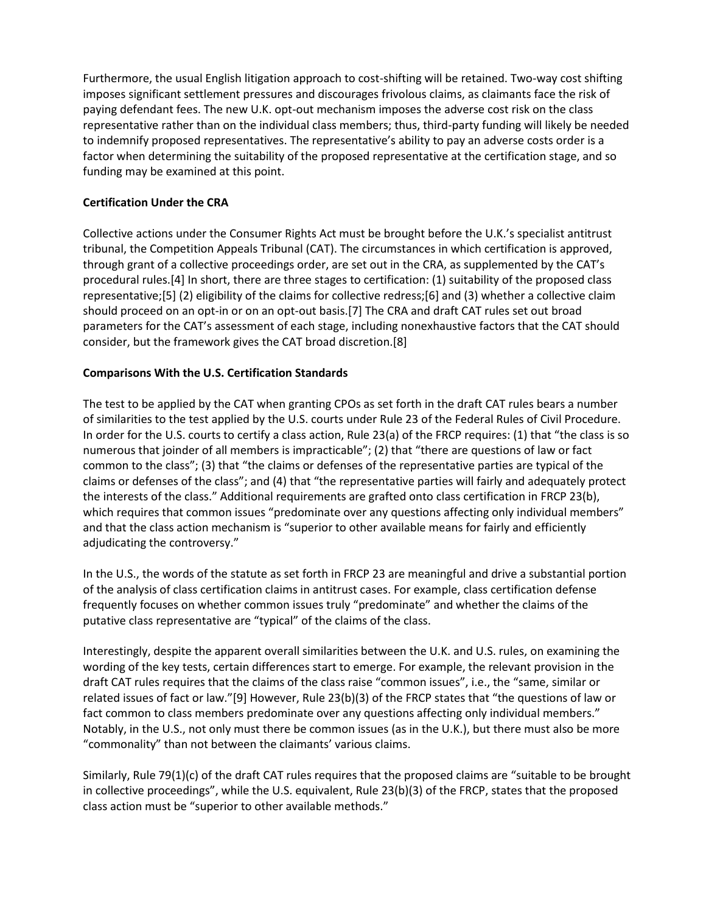Furthermore, the usual English litigation approach to cost-shifting will be retained. Two-way cost shifting imposes significant settlement pressures and discourages frivolous claims, as claimants face the risk of paying defendant fees. The new U.K. opt-out mechanism imposes the adverse cost risk on the class representative rather than on the individual class members; thus, third-party funding will likely be needed to indemnify proposed representatives. The representative's ability to pay an adverse costs order is a factor when determining the suitability of the proposed representative at the certification stage, and so funding may be examined at this point.

# **Certification Under the CRA**

Collective actions under the Consumer Rights Act must be brought before the U.K.'s specialist antitrust tribunal, the Competition Appeals Tribunal (CAT). The circumstances in which certification is approved, through grant of a collective proceedings order, are set out in the CRA, as supplemented by the CAT's procedural rules.[4] In short, there are three stages to certification: (1) suitability of the proposed class representative;[5] (2) eligibility of the claims for collective redress;[6] and (3) whether a collective claim should proceed on an opt-in or on an opt-out basis.[7] The CRA and draft CAT rules set out broad parameters for the CAT's assessment of each stage, including nonexhaustive factors that the CAT should consider, but the framework gives the CAT broad discretion.[8]

## **Comparisons With the U.S. Certification Standards**

The test to be applied by the CAT when granting CPOs as set forth in the draft CAT rules bears a number of similarities to the test applied by the U.S. courts under Rule 23 of the Federal Rules of Civil Procedure. In order for the U.S. courts to certify a class action, Rule 23(a) of the FRCP requires: (1) that "the class is so numerous that joinder of all members is impracticable"; (2) that "there are questions of law or fact common to the class"; (3) that "the claims or defenses of the representative parties are typical of the claims or defenses of the class"; and (4) that "the representative parties will fairly and adequately protect the interests of the class." Additional requirements are grafted onto class certification in FRCP 23(b), which requires that common issues "predominate over any questions affecting only individual members" and that the class action mechanism is "superior to other available means for fairly and efficiently adjudicating the controversy."

In the U.S., the words of the statute as set forth in FRCP 23 are meaningful and drive a substantial portion of the analysis of class certification claims in antitrust cases. For example, class certification defense frequently focuses on whether common issues truly "predominate" and whether the claims of the putative class representative are "typical" of the claims of the class.

Interestingly, despite the apparent overall similarities between the U.K. and U.S. rules, on examining the wording of the key tests, certain differences start to emerge. For example, the relevant provision in the draft CAT rules requires that the claims of the class raise "common issues", i.e., the "same, similar or related issues of fact or law."[9] However, Rule 23(b)(3) of the FRCP states that "the questions of law or fact common to class members predominate over any questions affecting only individual members." Notably, in the U.S., not only must there be common issues (as in the U.K.), but there must also be more "commonality" than not between the claimants' various claims.

Similarly, Rule 79(1)(c) of the draft CAT rules requires that the proposed claims are "suitable to be brought in collective proceedings", while the U.S. equivalent, Rule 23(b)(3) of the FRCP, states that the proposed class action must be "superior to other available methods."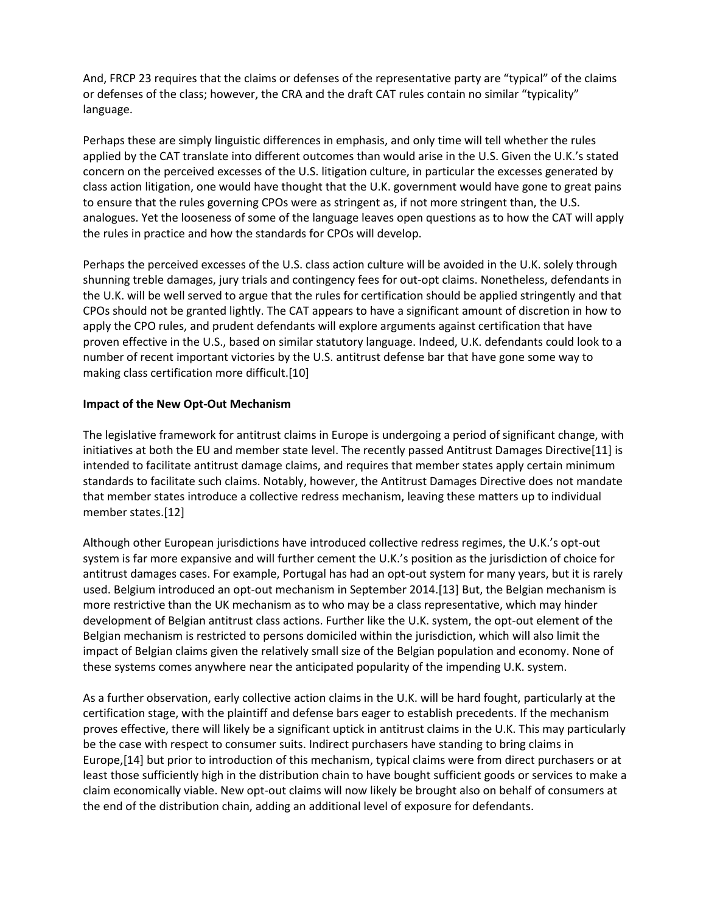And, FRCP 23 requires that the claims or defenses of the representative party are "typical" of the claims or defenses of the class; however, the CRA and the draft CAT rules contain no similar "typicality" language.

Perhaps these are simply linguistic differences in emphasis, and only time will tell whether the rules applied by the CAT translate into different outcomes than would arise in the U.S. Given the U.K.'s stated concern on the perceived excesses of the U.S. litigation culture, in particular the excesses generated by class action litigation, one would have thought that the U.K. government would have gone to great pains to ensure that the rules governing CPOs were as stringent as, if not more stringent than, the U.S. analogues. Yet the looseness of some of the language leaves open questions as to how the CAT will apply the rules in practice and how the standards for CPOs will develop.

Perhaps the perceived excesses of the U.S. class action culture will be avoided in the U.K. solely through shunning treble damages, jury trials and contingency fees for out-opt claims. Nonetheless, defendants in the U.K. will be well served to argue that the rules for certification should be applied stringently and that CPOs should not be granted lightly. The CAT appears to have a significant amount of discretion in how to apply the CPO rules, and prudent defendants will explore arguments against certification that have proven effective in the U.S., based on similar statutory language. Indeed, U.K. defendants could look to a number of recent important victories by the U.S. antitrust defense bar that have gone some way to making class certification more difficult.[10]

## **Impact of the New Opt-Out Mechanism**

The legislative framework for antitrust claims in Europe is undergoing a period of significant change, with initiatives at both the EU and member state level. The recently passed Antitrust Damages Directive[11] is intended to facilitate antitrust damage claims, and requires that member states apply certain minimum standards to facilitate such claims. Notably, however, the Antitrust Damages Directive does not mandate that member states introduce a collective redress mechanism, leaving these matters up to individual member states.[12]

Although other European jurisdictions have introduced collective redress regimes, the U.K.'s opt-out system is far more expansive and will further cement the U.K.'s position as the jurisdiction of choice for antitrust damages cases. For example, Portugal has had an opt-out system for many years, but it is rarely used. Belgium introduced an opt-out mechanism in September 2014.[13] But, the Belgian mechanism is more restrictive than the UK mechanism as to who may be a class representative, which may hinder development of Belgian antitrust class actions. Further like the U.K. system, the opt-out element of the Belgian mechanism is restricted to persons domiciled within the jurisdiction, which will also limit the impact of Belgian claims given the relatively small size of the Belgian population and economy. None of these systems comes anywhere near the anticipated popularity of the impending U.K. system.

As a further observation, early collective action claims in the U.K. will be hard fought, particularly at the certification stage, with the plaintiff and defense bars eager to establish precedents. If the mechanism proves effective, there will likely be a significant uptick in antitrust claims in the U.K. This may particularly be the case with respect to consumer suits. Indirect purchasers have standing to bring claims in Europe,[14] but prior to introduction of this mechanism, typical claims were from direct purchasers or at least those sufficiently high in the distribution chain to have bought sufficient goods or services to make a claim economically viable. New opt-out claims will now likely be brought also on behalf of consumers at the end of the distribution chain, adding an additional level of exposure for defendants.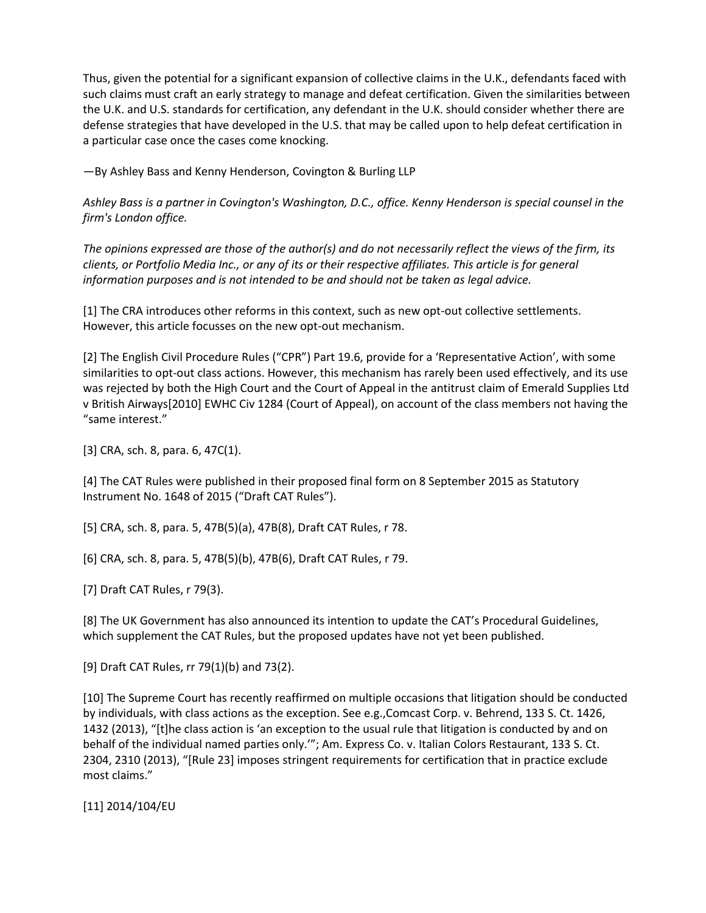Thus, given the potential for a significant expansion of collective claims in the U.K., defendants faced with such claims must craft an early strategy to manage and defeat certification. Given the similarities between the U.K. and U.S. standards for certification, any defendant in the U.K. should consider whether there are defense strategies that have developed in the U.S. that may be called upon to help defeat certification in a particular case once the cases come knocking.

—By Ashley Bass and Kenny Henderson, Covington & Burling LLP

*Ashley Bass is a partner in Covington's Washington, D.C., office. Kenny Henderson is special counsel in the firm's London office.*

*The opinions expressed are those of the author(s) and do not necessarily reflect the views of the firm, its clients, or Portfolio Media Inc., or any of its or their respective affiliates. This article is for general information purposes and is not intended to be and should not be taken as legal advice.*

[1] The CRA introduces other reforms in this context, such as new opt-out collective settlements. However, this article focusses on the new opt-out mechanism.

[2] The English Civil Procedure Rules ("CPR") Part 19.6, provide for a 'Representative Action', with some similarities to opt-out class actions. However, this mechanism has rarely been used effectively, and its use was rejected by both the High Court and the Court of Appeal in the antitrust claim of Emerald Supplies Ltd v British Airways[2010] EWHC Civ 1284 (Court of Appeal), on account of the class members not having the "same interest."

[3] CRA, sch. 8, para. 6, 47C(1).

[4] The CAT Rules were published in their proposed final form on 8 September 2015 as Statutory Instrument No. 1648 of 2015 ("Draft CAT Rules").

[5] CRA, sch. 8, para. 5, 47B(5)(a), 47B(8), Draft CAT Rules, r 78.

[6] CRA, sch. 8, para. 5, 47B(5)(b), 47B(6), Draft CAT Rules, r 79.

[7] Draft CAT Rules, r 79(3).

[8] The UK Government has also announced its intention to update the CAT's Procedural Guidelines, which supplement the CAT Rules, but the proposed updates have not yet been published.

[9] Draft CAT Rules, rr 79(1)(b) and 73(2).

[10] The Supreme Court has recently reaffirmed on multiple occasions that litigation should be conducted by individuals, with class actions as the exception. See e.g.,Comcast Corp. v. Behrend, 133 S. Ct. 1426, 1432 (2013), "[t]he class action is 'an exception to the usual rule that litigation is conducted by and on behalf of the individual named parties only.'"; Am. Express Co. v. Italian Colors Restaurant, 133 S. Ct. 2304, 2310 (2013), "[Rule 23] imposes stringent requirements for certification that in practice exclude most claims."

[11] 2014/104/EU